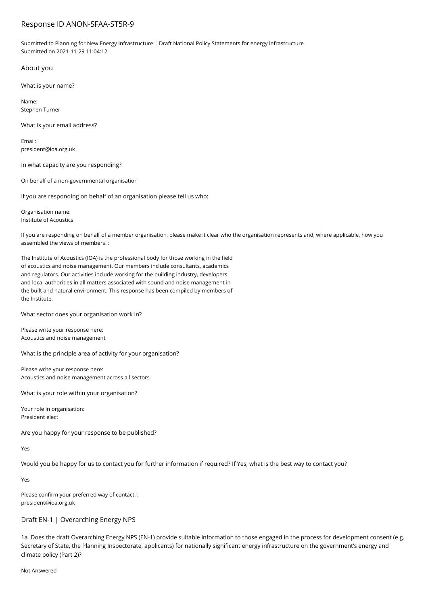# Response ID ANON-SFAA-ST5R-9

Submitted to Planning for New Energy Infrastructure | Draft National Policy Statements for energy infrastructure Submitted on 2021-11-29 11:04:12

About you

What is your name?

Name: Stephen Turner

What is your email address?

Email: president@ioa.org.uk

In what capacity are you responding?

On behalf of a non-governmental organisation

If you are responding on behalf of an organisation please tell us who:

Organisation name: Institute of Acoustics

If you are responding on behalf of a member organisation, please make it clear who the organisation represents and, where applicable, how you assembled the views of members. :

The Institute of Acoustics (IOA) is the professional body for those working in the field of acoustics and noise management. Our members include consultants, academics and regulators. Our activities include working for the building industry, developers and local authorities in all matters associated with sound and noise management in the built and natural environment. This response has been compiled by members of the Institute.

What sector does your organisation work in?

Please write your response here: Acoustics and noise management

What is the principle area of activity for your organisation?

Please write your response here: Acoustics and noise management across all sectors

What is your role within your organisation?

Your role in organisation: President elect

Are you happy for your response to be published?

Yes

Would you be happy for us to contact you for further information if required? If Yes, what is the best way to contact you?

Yes

Please confirm your preferred way of contact. : president@ioa.org.uk

## Draft EN-1 | Overarching Energy NPS

1a Does the draft Overarching Energy NPS (EN-1) provide suitable information to those engaged in the process for development consent (e.g. Secretary of State, the Planning Inspectorate, applicants) for nationally significant energy infrastructure on the government's energy and climate policy (Part 2)?

Not Answered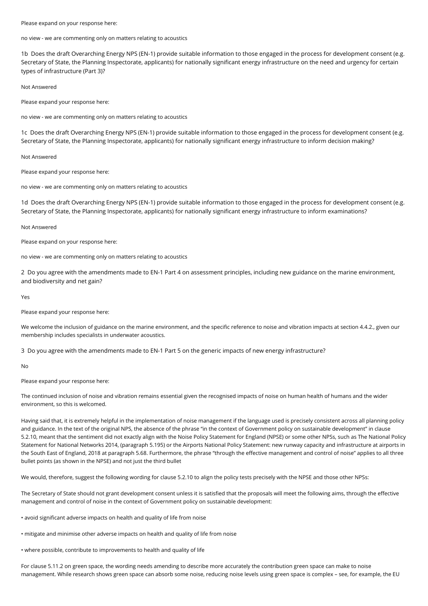Please expand on your response here:

no view - we are commenting only on matters relating to acoustics

1b Does the draft Overarching Energy NPS (EN-1) provide suitable information to those engaged in the process for development consent (e.g. Secretary of State, the Planning Inspectorate, applicants) for nationally significant energy infrastructure on the need and urgency for certain types of infrastructure (Part 3)?

Not Answered

Please expand your response here:

no view - we are commenting only on matters relating to acoustics

1c Does the draft Overarching Energy NPS (EN-1) provide suitable information to those engaged in the process for development consent (e.g. Secretary of State, the Planning Inspectorate, applicants) for nationally significant energy infrastructure to inform decision making?

Not Answered

Please expand your response here:

no view - we are commenting only on matters relating to acoustics

1d Does the draft Overarching Energy NPS (EN-1) provide suitable information to those engaged in the process for development consent (e.g. Secretary of State, the Planning Inspectorate, applicants) for nationally significant energy infrastructure to inform examinations?

Not Answered

Please expand on your response here:

no view - we are commenting only on matters relating to acoustics

2 Do you agree with the amendments made to EN-1 Part 4 on assessment principles, including new guidance on the marine environment, and biodiversity and net gain?

Yes

Please expand your response here:

We welcome the inclusion of guidance on the marine environment, and the specific reference to noise and vibration impacts at section 4.4.2., given our membership includes specialists in underwater acoustics.

3 Do you agree with the amendments made to EN-1 Part 5 on the generic impacts of new energy infrastructure?

No

Please expand your response here:

The continued inclusion of noise and vibration remains essential given the recognised impacts of noise on human health of humans and the wider environment, so this is welcomed.

Having said that, it is extremely helpful in the implementation of noise management if the language used is precisely consistent across all planning policy and guidance. In the text of the original NPS, the absence of the phrase "in the context of Government policy on sustainable development" in clause 5.2.10, meant that the sentiment did not exactly align with the Noise Policy Statement for England (NPSE) or some other NPSs, such as The National Policy Statement for National Networks 2014, (paragraph 5.195) or the Airports National Policy Statement: new runway capacity and infrastructure at airports in the South East of England, 2018 at paragraph 5.68. Furthermore, the phrase "through the effective management and control of noise" applies to all three bullet points (as shown in the NPSE) and not just the third bullet

We would, therefore, suggest the following wording for clause 5.2.10 to align the policy tests precisely with the NPSE and those other NPSs:

The Secretary of State should not grant development consent unless it is satisfied that the proposals will meet the following aims, through the effective management and control of noise in the context of Government policy on sustainable development:

• avoid significant adverse impacts on health and quality of life from noise

• mitigate and minimise other adverse impacts on health and quality of life from noise

• where possible, contribute to improvements to health and quality of life

For clause 5.11.2 on green space, the wording needs amending to describe more accurately the contribution green space can make to noise management. While research shows green space can absorb some noise, reducing noise levels using green space is complex – see, for example, the EU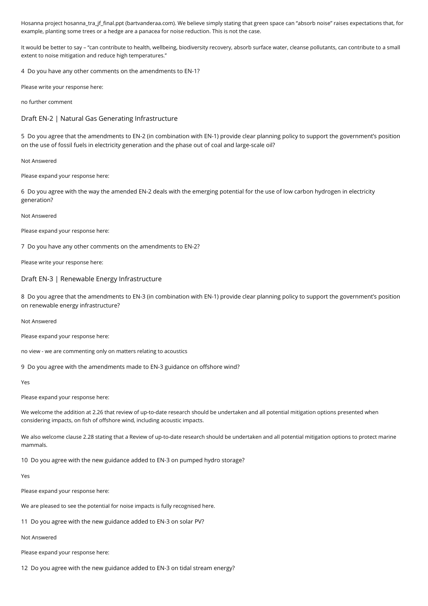Hosanna project hosanna\_tra\_jf\_final.ppt (bartvanderaa.com). We believe simply stating that green space can "absorb noise" raises expectations that, for example, planting some trees or a hedge are a panacea for noise reduction. This is not the case.

It would be better to say – "can contribute to health, wellbeing, biodiversity recovery, absorb surface water, cleanse pollutants, can contribute to a small extent to noise mitigation and reduce high temperatures."

4 Do you have any other comments on the amendments to EN-1?

Please write your response here:

no further comment

Draft EN-2 | Natural Gas Generating Infrastructure

5 Do you agree that the amendments to EN-2 (in combination with EN-1) provide clear planning policy to support the government's position on the use of fossil fuels in electricity generation and the phase out of coal and large-scale oil?

Not Answered

Please expand your response here:

6 Do you agree with the way the amended EN-2 deals with the emerging potential for the use of low carbon hydrogen in electricity generation?

Not Answered

Please expand your response here:

7 Do you have any other comments on the amendments to EN-2?

Please write your response here:

## Draft EN-3 | Renewable Energy Infrastructure

8 Do you agree that the amendments to EN-3 (in combination with EN-1) provide clear planning policy to support the government's position on renewable energy infrastructure?

### Not Answered

Please expand your response here:

no view - we are commenting only on matters relating to acoustics

9 Do you agree with the amendments made to EN-3 guidance on offshore wind?

Yes

Please expand your response here:

We welcome the addition at 2.26 that review of up-to-date research should be undertaken and all potential mitigation options presented when considering impacts, on fish of offshore wind, including acoustic impacts.

We also welcome clause 2.28 stating that a Review of up-to-date research should be undertaken and all potential mitigation options to protect marine mammals.

10 Do you agree with the new guidance added to EN-3 on pumped hydro storage?

Yes

Please expand your response here:

We are pleased to see the potential for noise impacts is fully recognised here.

11 Do you agree with the new guidance added to EN-3 on solar PV?

Not Answered

Please expand your response here:

12 Do you agree with the new guidance added to EN-3 on tidal stream energy?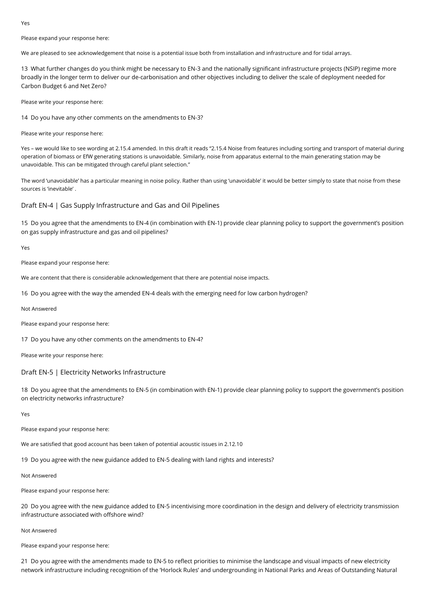**Ves** 

Please expand your response here:

We are pleased to see acknowledgement that noise is a potential issue both from installation and infrastructure and for tidal arrays.

13 What further changes do you think might be necessary to EN-3 and the nationally significant infrastructure projects (NSIP) regime more broadly in the longer term to deliver our de-carbonisation and other objectives including to deliver the scale of deployment needed for Carbon Budget 6 and Net Zero?

Please write your response here:

14 Do you have any other comments on the amendments to EN-3?

Please write your response here:

Yes – we would like to see wording at 2.15.4 amended. In this draft it reads "2.15.4 Noise from features including sorting and transport of material during operation of biomass or EfW generating stations is unavoidable. Similarly, noise from apparatus external to the main generating station may be unavoidable. This can be mitigated through careful plant selection."

The word 'unavoidable' has a particular meaning in noise policy. Rather than using 'unavoidable' it would be better simply to state that noise from these sources is 'inevitable' .

Draft EN-4 | Gas Supply Infrastructure and Gas and Oil Pipelines

15 Do you agree that the amendments to EN-4 (in combination with EN-1) provide clear planning policy to support the government's position on gas supply infrastructure and gas and oil pipelines?

Yes

Please expand your response here:

We are content that there is considerable acknowledgement that there are potential noise impacts.

16 Do you agree with the way the amended EN-4 deals with the emerging need for low carbon hydrogen?

Not Answered

Please expand your response here:

17 Do you have any other comments on the amendments to EN-4?

Please write your response here:

### Draft EN-5 | Electricity Networks Infrastructure

18 Do you agree that the amendments to EN-5 (in combination with EN-1) provide clear planning policy to support the government's position on electricity networks infrastructure?

Yes

Please expand your response here:

We are satisfied that good account has been taken of potential acoustic issues in 2.12.10

19 Do you agree with the new guidance added to EN-5 dealing with land rights and interests?

Not Answered

Please expand your response here:

20 Do you agree with the new guidance added to EN-5 incentivising more coordination in the design and delivery of electricity transmission infrastructure associated with offshore wind?

Not Answered

Please expand your response here:

21 Do you agree with the amendments made to EN-5 to reflect priorities to minimise the landscape and visual impacts of new electricity network infrastructure including recognition of the 'Horlock Rules' and undergrounding in National Parks and Areas of Outstanding Natural